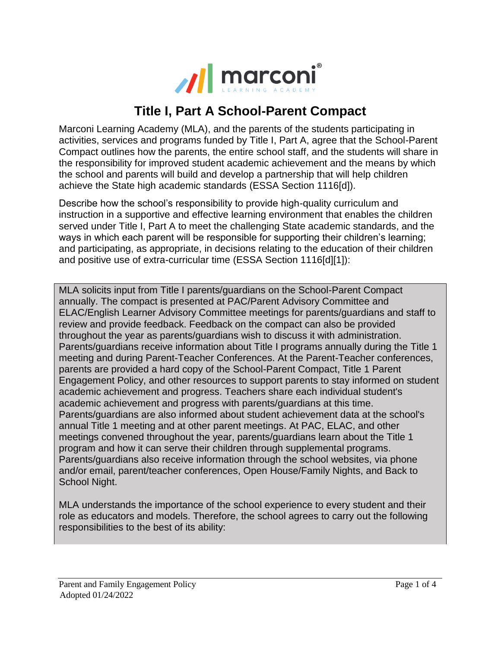

## **Title I, Part A School-Parent Compact**

Marconi Learning Academy (MLA), and the parents of the students participating in activities, services and programs funded by Title I, Part A, agree that the School-Parent Compact outlines how the parents, the entire school staff, and the students will share in the responsibility for improved student academic achievement and the means by which the school and parents will build and develop a partnership that will help children achieve the State high academic standards (ESSA Section 1116[d]).

Describe how the school's responsibility to provide high-quality curriculum and instruction in a supportive and effective learning environment that enables the children served under Title I, Part A to meet the challenging State academic standards, and the ways in which each parent will be responsible for supporting their children's learning; and participating, as appropriate, in decisions relating to the education of their children and positive use of extra-curricular time (ESSA Section 1116[d][1]):

MLA solicits input from Title I parents/guardians on the School-Parent Compact annually. The compact is presented at PAC/Parent Advisory Committee and ELAC/English Learner Advisory Committee meetings for parents/guardians and staff to review and provide feedback. Feedback on the compact can also be provided throughout the year as parents/guardians wish to discuss it with administration. Parents/guardians receive information about Title I programs annually during the Title 1 meeting and during Parent-Teacher Conferences. At the Parent-Teacher conferences, parents are provided a hard copy of the School-Parent Compact, Title 1 Parent Engagement Policy, and other resources to support parents to stay informed on student academic achievement and progress. Teachers share each individual student's academic achievement and progress with parents/guardians at this time. Parents/guardians are also informed about student achievement data at the school's annual Title 1 meeting and at other parent meetings. At PAC, ELAC, and other meetings convened throughout the year, parents/guardians learn about the Title 1 program and how it can serve their children through supplemental programs. Parents/guardians also receive information through the school websites, via phone and/or email, parent/teacher conferences, Open House/Family Nights, and Back to School Night.

MLA understands the importance of the school experience to every student and their role as educators and models. Therefore, the school agrees to carry out the following responsibilities to the best of its ability: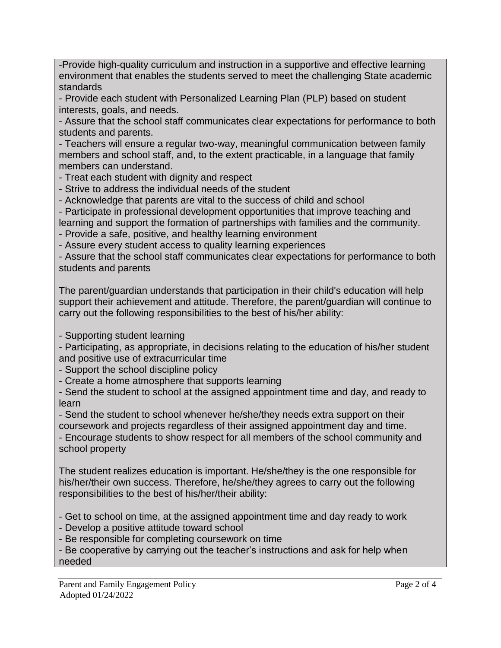-Provide high-quality curriculum and instruction in a supportive and effective learning environment that enables the students served to meet the challenging State academic standards

- Provide each student with Personalized Learning Plan (PLP) based on student interests, goals, and needs.

- Assure that the school staff communicates clear expectations for performance to both students and parents.

- Teachers will ensure a regular two-way, meaningful communication between family members and school staff, and, to the extent practicable, in a language that family members can understand.

- Treat each student with dignity and respect

- Strive to address the individual needs of the student
- Acknowledge that parents are vital to the success of child and school
- Participate in professional development opportunities that improve teaching and learning and support the formation of partnerships with families and the community.
- Provide a safe, positive, and healthy learning environment
- Assure every student access to quality learning experiences

- Assure that the school staff communicates clear expectations for performance to both students and parents

The parent/guardian understands that participation in their child's education will help support their achievement and attitude. Therefore, the parent/guardian will continue to carry out the following responsibilities to the best of his/her ability:

- Supporting student learning

- Participating, as appropriate, in decisions relating to the education of his/her student and positive use of extracurricular time

- Support the school discipline policy

- Create a home atmosphere that supports learning

- Send the student to school at the assigned appointment time and day, and ready to learn

- Send the student to school whenever he/she/they needs extra support on their coursework and projects regardless of their assigned appointment day and time.

- Encourage students to show respect for all members of the school community and school property

The student realizes education is important. He/she/they is the one responsible for his/her/their own success. Therefore, he/she/they agrees to carry out the following responsibilities to the best of his/her/their ability:

- Get to school on time, at the assigned appointment time and day ready to work

- Develop a positive attitude toward school
- Be responsible for completing coursework on time

- Be cooperative by carrying out the teacher's instructions and ask for help when needed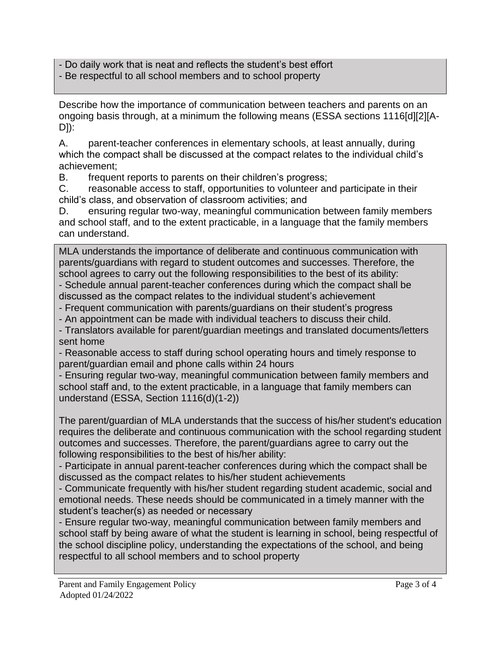- Do daily work that is neat and reflects the student's best effort

- Be respectful to all school members and to school property

Describe how the importance of communication between teachers and parents on an ongoing basis through, at a minimum the following means (ESSA sections 1116[d][2][A-D]):

A. parent-teacher conferences in elementary schools, at least annually, during which the compact shall be discussed at the compact relates to the individual child's achievement;

B. frequent reports to parents on their children's progress;

C. reasonable access to staff, opportunities to volunteer and participate in their child's class, and observation of classroom activities; and

D. ensuring regular two-way, meaningful communication between family members and school staff, and to the extent practicable, in a language that the family members can understand.

MLA understands the importance of deliberate and continuous communication with parents/guardians with regard to student outcomes and successes. Therefore, the school agrees to carry out the following responsibilities to the best of its ability: - Schedule annual parent-teacher conferences during which the compact shall be discussed as the compact relates to the individual student's achievement

- Frequent communication with parents/guardians on their student's progress

- An appointment can be made with individual teachers to discuss their child.

- Translators available for parent/guardian meetings and translated documents/letters sent home

- Reasonable access to staff during school operating hours and timely response to parent/guardian email and phone calls within 24 hours

- Ensuring regular two-way, meaningful communication between family members and school staff and, to the extent practicable, in a language that family members can understand (ESSA, Section 1116(d)(1-2))

The parent/guardian of MLA understands that the success of his/her student's education requires the deliberate and continuous communication with the school regarding student outcomes and successes. Therefore, the parent/guardians agree to carry out the following responsibilities to the best of his/her ability:

- Participate in annual parent-teacher conferences during which the compact shall be discussed as the compact relates to his/her student achievements

- Communicate frequently with his/her student regarding student academic, social and emotional needs. These needs should be communicated in a timely manner with the student's teacher(s) as needed or necessary

- Ensure regular two-way, meaningful communication between family members and school staff by being aware of what the student is learning in school, being respectful of the school discipline policy, understanding the expectations of the school, and being respectful to all school members and to school property